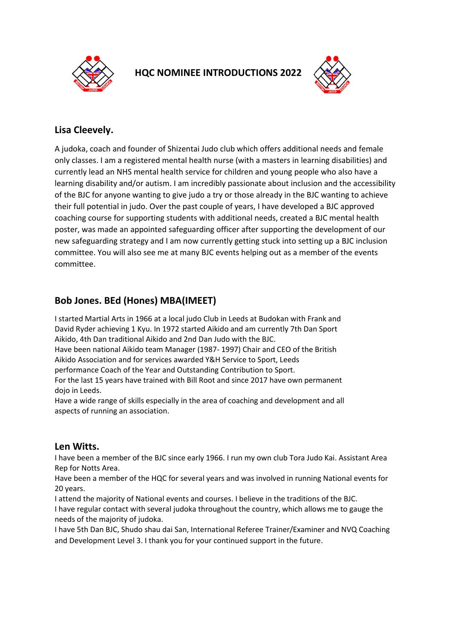

**HQC NOMINEE INTRODUCTIONS 2022** 



## **Lisa Cleevely.**

A judoka, coach and founder of Shizentai Judo club which offers additional needs and female only classes. I am a registered mental health nurse (with a masters in learning disabilities) and currently lead an NHS mental health service for children and young people who also have a learning disability and/or autism. I am incredibly passionate about inclusion and the accessibility of the BJC for anyone wanting to give judo a try or those already in the BJC wanting to achieve their full potential in judo. Over the past couple of years, I have developed a BJC approved coaching course for supporting students with additional needs, created a BJC mental health poster, was made an appointed safeguarding officer after supporting the development of our new safeguarding strategy and I am now currently getting stuck into setting up a BJC inclusion committee. You will also see me at many BJC events helping out as a member of the events committee.

# **Bob Jones. BEd (Hones) MBA(IMEET)**

I started Martial Arts in 1966 at a local judo Club in Leeds at Budokan with Frank and David Ryder achieving 1 Kyu. In 1972 started Aikido and am currently 7th Dan Sport Aikido, 4th Dan traditional Aikido and 2nd Dan Judo with the BJC. Have been national Aikido team Manager (1987- 1997) Chair and CEO of the British Aikido Association and for services awarded Y&H Service to Sport, Leeds performance Coach of the Year and Outstanding Contribution to Sport. For the last 15 years have trained with Bill Root and since 2017 have own permanent dojo in Leeds.

Have a wide range of skills especially in the area of coaching and development and all aspects of running an association.

### **Len Witts.**

I have been a member of the BJC since early 1966. I run my own club Tora Judo Kai. Assistant Area Rep for Notts Area.

Have been a member of the HQC for several years and was involved in running National events for 20 years.

I attend the majority of National events and courses. I believe in the traditions of the BJC. I have regular contact with several judoka throughout the country, which allows me to gauge the needs of the majority of judoka.

I have 5th Dan BJC, Shudo shau dai San, International Referee Trainer/Examiner and NVQ Coaching and Development Level 3. I thank you for your continued support in the future.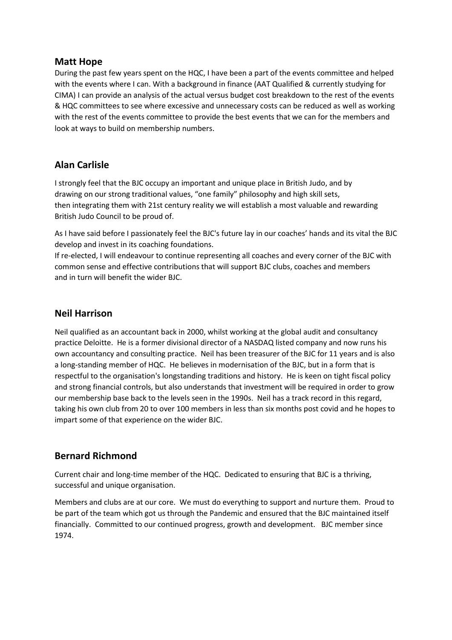### **Matt Hope**

During the past few years spent on the HQC, I have been a part of the events committee and helped with the events where I can. With a background in finance (AAT Qualified & currently studying for CIMA) I can provide an analysis of the actual versus budget cost breakdown to the rest of the events & HQC committees to see where excessive and unnecessary costs can be reduced as well as working with the rest of the events committee to provide the best events that we can for the members and look at ways to build on membership numbers.

# **Alan Carlisle**

I strongly feel that the BJC occupy an important and unique place in British Judo, and by drawing on our strong traditional values, "one family" philosophy and high skill sets, then integrating them with 21st century reality we will establish a most valuable and rewarding British Judo Council to be proud of.

As I have said before I passionately feel the BJC's future lay in our coaches' hands and its vital the BJC develop and invest in its coaching foundations.

If re-elected, I will endeavour to continue representing all coaches and every corner of the BJC with common sense and effective contributions that will support BJC clubs, coaches and members and in turn will benefit the wider BJC.

### **Neil Harrison**

Neil qualified as an accountant back in 2000, whilst working at the global audit and consultancy practice Deloitte. He is a former divisional director of a NASDAQ listed company and now runs his own accountancy and consulting practice. Neil has been treasurer of the BJC for 11 years and is also a long-standing member of HQC. He believes in modernisation of the BJC, but in a form that is respectful to the organisation's longstanding traditions and history. He is keen on tight fiscal policy and strong financial controls, but also understands that investment will be required in order to grow our membership base back to the levels seen in the 1990s. Neil has a track record in this regard, taking his own club from 20 to over 100 members in less than six months post covid and he hopes to impart some of that experience on the wider BJC.

# **Bernard Richmond**

Current chair and long-time member of the HQC. Dedicated to ensuring that BJC is a thriving, successful and unique organisation.

Members and clubs are at our core. We must do everything to support and nurture them. Proud to be part of the team which got us through the Pandemic and ensured that the BJC maintained itself financially. Committed to our continued progress, growth and development. BJC member since 1974.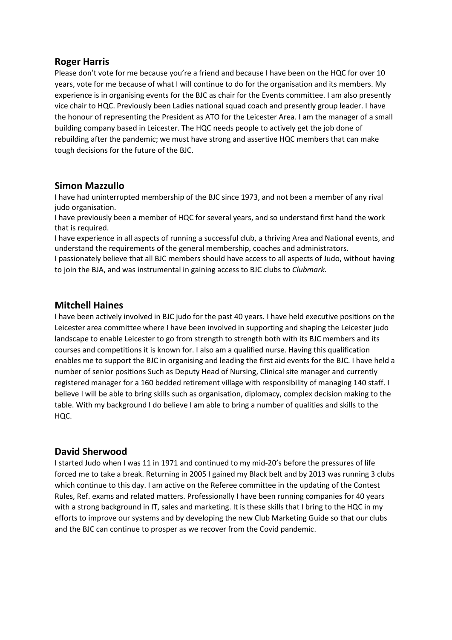### **Roger Harris**

Please don't vote for me because you're a friend and because I have been on the HQC for over 10 years, vote for me because of what I will continue to do for the organisation and its members. My experience is in organising events for the BJC as chair for the Events committee. I am also presently vice chair to HQC. Previously been Ladies national squad coach and presently group leader. I have the honour of representing the President as ATO for the Leicester Area. I am the manager of a small building company based in Leicester. The HQC needs people to actively get the job done of rebuilding after the pandemic; we must have strong and assertive HQC members that can make tough decisions for the future of the BJC.

### **Simon Mazzullo**

I have had uninterrupted membership of the BJC since 1973, and not been a member of any rival judo organisation.

I have previously been a member of HQC for several years, and so understand first hand the work that is required.

I have experience in all aspects of running a successful club, a thriving Area and National events, and understand the requirements of the general membership, coaches and administrators.

I passionately believe that all BJC members should have access to all aspects of Judo, without having to join the BJA, and was instrumental in gaining access to BJC clubs to *Clubmark.*

#### **Mitchell Haines**

I have been actively involved in BJC judo for the past 40 years. I have held executive positions on the Leicester area committee where I have been involved in supporting and shaping the Leicester judo landscape to enable Leicester to go from strength to strength both with its BJC members and its courses and competitions it is known for. I also am a qualified nurse. Having this qualification enables me to support the BJC in organising and leading the first aid events for the BJC. I have held a number of senior positions Such as Deputy Head of Nursing, Clinical site manager and currently registered manager for a 160 bedded retirement village with responsibility of managing 140 staff. I believe I will be able to bring skills such as organisation, diplomacy, complex decision making to the table. With my background I do believe I am able to bring a number of qualities and skills to the HQC.

### **David Sherwood**

I started Judo when I was 11 in 1971 and continued to my mid-20's before the pressures of life forced me to take a break. Returning in 2005 I gained my Black belt and by 2013 was running 3 clubs which continue to this day. I am active on the Referee committee in the updating of the Contest Rules, Ref. exams and related matters. Professionally I have been running companies for 40 years with a strong background in IT, sales and marketing. It is these skills that I bring to the HQC in my efforts to improve our systems and by developing the new Club Marketing Guide so that our clubs and the BJC can continue to prosper as we recover from the Covid pandemic.